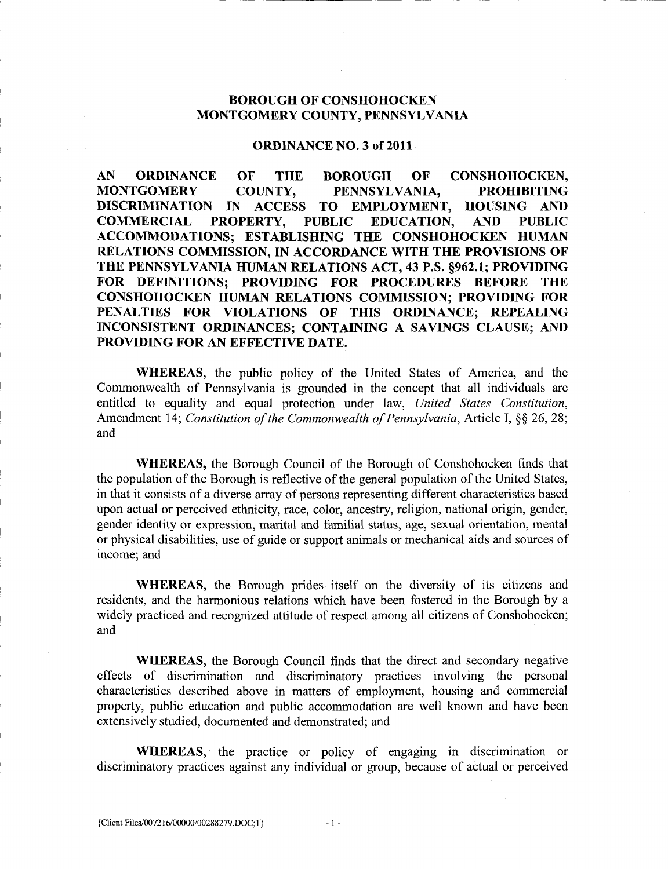# BOROUGH OF CONSHOHOCKEN MONTGOMERY COUNTY, PENNSYLVANIA<br>
ORDINANCE NO. 3 of 2011

AN ORDINANCE OF THE BOROUGH OF CONSHOHOCKEN,<br>MONTGOMERY COUNTY. PENNSYLVANIA. PROHIBITING COUNTY, PENNSYLVANIA, PROHIBITING DISCRIMINATION IN ACCESS TO EMPLOYMENT, HOUSING AND<br>COMMERCIAL PROPERTY, PUBLIC EDUCATION, AND PUBLIC COMMERCIAL PROPERTY, PUBLIC EDUCATION, AND PUBLIC ACCOMMODATIONS; ESTABLISHING THE CONSHOHOCKEN HUMAN RELATIONS COMMISSION, IN ACCORDANCE WITH THE PROVISIONS OF THE PENNSYLVANIA HUMAN RELATIONS ACT, 43 P.S. §962.1; PROVIDING FOR DEFINITIONS; PROVIDING FOR PROCEDURES BEFORE THE CONSHOHOCKEN HUMAN RELATIONS COMMISSION; PROVIDING FOR PENALTIES FOR VIOLATIONS OF THIS ORDINANCE; REPEALING INCONSISTENT ORDINANCES; CONTAINING A SAVINGS CLAUSE; AND PROVIDING FOR AN EFFECTIVE DATE.

WHEREAS, the public policy of the United States of America, and the Commonwealth of Pennsylvania is grounded in the concept that all individuals are entitled to equality and equal protection under law, United States Constitution, Amendment 14; Constitution of the Commonwealth of Pennsylvania, Article I, §§ 26, 28; and

WHEREAS, the Borough Council of the Borough of Conshohocken finds that the population of the Borough is reflective of the general population of the United States, in that it consists of a diverse array of persons representing different characteristics based upon actual or perceived ethnicity, race, color, ancestry, religion, national origin, gender, gender identity or expression, marital and familial status, age, sexual orientation, mental or physical disabilities, use of guide or support animals or mechanical aids and sources of income; and

WHEREAS, the Borough prides itself on the diversity of its citizens and residents, and the harmonious relations which have been fostered in the Borough by a widely practiced and recognized attitude of respect among all citizens of Conshohocken; and

WHEREAS, the Borough Council finds that the direct and secondary negative effects of discrimination and discriminatory practices involving the personal characteristics described above in matters of employment, housing and commercial property, public education and public accommodation are well known and have been extensively studied, documented and demonstrated; and residents, and the harmonious relations whist<br>widely practiced and recognized attitude of 1<br>and<br>**WHEREAS**, the Borough Council 1<br>effects of discrimination and discrimin<br>characteristics described above in matters<br>property,

WHEREAS, the practice or policy of engaging in discrimination or discriminatory practices against any individual or group, because of actual or perceived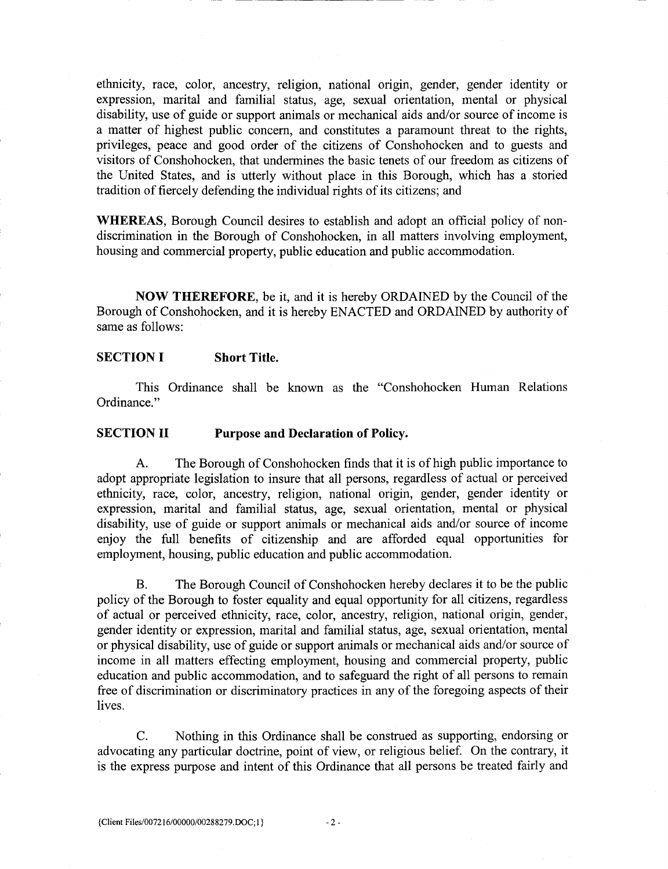ethnicity, race, color, ancestry, religion, national origin, gender, gender identity or expression, marital and familial status, age, sexual orientation, mental or physical disability, use of guide or support animals or mechanical aids and/or source of income is a matter of highest public concern, and constitutes a paramount threat to the rights, privileges, peace and good order of the citizens of Conshohocken and to guests and visitors of Conshohocken, that undermines the basic tenets of our freedom as citizens of the United States, and is utterly without place in this Borough, which has a storied tradition of fiercely defending the individual rights of its citizens; and

WHEREAS, Borough Council desires to establish and adopt an official policy of nondiscrimination in the Borough of Conshohocken, in all matters involving employment, housing and commercial property, public education and public accommodation.

NOW THEREFORE, be it, and it is hereby ORDAINED by the Council of the Borough of Conshohocken, and it is hereby ENACTED and ORDAINED by authority of same as follows:

#### SECTION I Short Title.

This Ordinance shall be known as the "Conshohocken Human Relations" Ordinance."

#### SECTION II Purpose and Declaration of Policy.

A. The Borough of Conshohocken finds that it is of high public importance to adopt appropriate legislation to insure that all persons, regardless of actual or perceived ethnicity, race, color, ancestry, religion, national origin, gender, gender identity or expression, marital and familial status, age, sexual orientation, mental or physical disability, use of guide or support animals or mechanical aids and/or source of income enjoy the full benefits of citizenship and are afforded equal opportunities for employment, housing, public education and public accommodation.

B. The Borough Council of Conshohocken hereby declares it to be the public policy of the Borough to foster equality and equal opportunity for all citizens, regardless of actual or perceived ethnicity, race, color, ancestry, religion, national origin, gender, gender identity or expression, marital and familial status, age, sexual orientation, mental or physical disability, use of guide or support animals or mechanical aids and/or source of income in all matters effecting employment, housing and commercial property, public education and public accommodation, and to safeguard the right of all persons to remain free of discrimination or discriminatory practices in any of the foregoing aspects of their lives policy of the Borough to foster equali<br>of actual or perceived ethnicity, race<br>gender identity or expression, marital<br>or physical disability, use of guide or s<br>income in all matters effecting emple<br>education and public acco

C. Nothing in this Ordinance shall be construed as supporting, endorsing or advocating any particular doctrine, point of view, or religious belief. On the contrary, it is the express purpose and intent of this Ordinance that all persons be treated fairly and

 $-2-$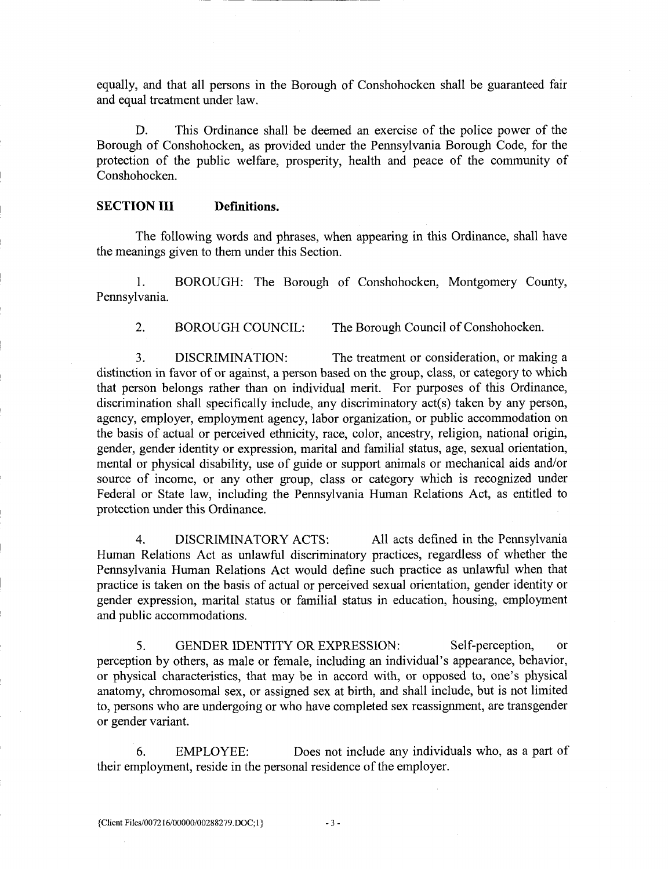equally and that all persons in the Borough of Conshohocken shall be guaranteed fair and equal treatment under law

D. This Ordinance shall be deemed an exercise of the police power of the Borough of Conshohocken, as provided under the Pennsylvania Borough Code, for the protection of the public welfare, prosperity, health and peace of the community of Conshohocken

#### SECTION III Definitions.

The following words and phrases, when appearing in this Ordinance, shall have the meanings given to them under this Section

1. BOROUGH: The Borough of Conshohocken, Montgomery County, Pennsylvania

2. BOROUGH COUNCIL: The Borough Council of Conshohocken.

3. DISCRIMINATION: The treatment or consideration, or making a distinction in favor of or against, a person based on the group, class, or category to which that person belongs rather than on individual merit. For purposes of this Ordinance distinction in favor of or against, a person based on the group, class<br>that person belongs rather than on individual merit. For purpos<br>discrimination shall specifically include, any discriminatory act(s)<br>agency, employer, discrimination shall specifically include, any discriminatory act(s) taken by any person, agency, employer, employment agency, labor organization, or public accommodation on the basis of actual or perceived ethnicity, race, color, ancestry, religion, national origin, gender, gender identity or expression, marital and familial status, age, sexual orientation, mental or physical disability, use of guide or support animals or mechanical aids and/or source of income, or any other group, class or category which is recognized under Federal or State law, including the Pennsylvania Human Relations Act, as entitled to protection under this Ordinance.

4. DISCRIMINATORY ACTS: All acts defined in the Pennsylvania Human Relations Act as unlawful discriminatory practices, regardless of whether the Pennsylvania Human Relations Act would define such practice as unlawful when that gender expression, marital status or familial status in education, housing, employment and public accommodations

practice is taken on the basis of actual or perceived sexual orientation, gender identity or gender expression, marital status or familial status in education, housing, employment and public accommodations.<br>
5. GENDER IDEN blic accommodations.<br>5. GENDER IDENTITY OR EXPRESSION: Self-perception, or<br>ion by others, as male or female, including an individual's appearance, behavior, 5. GENDER IDENTITY OR EXPRESSION: Self-perception by others, as male or female, including an individual's appearance, but or physical characteristics, that may be in accord with, or opposed to, one's anatomy chromosomal se or physical characteristics, that may be in accord with, or opposed to, one's physical anatomy, chromosomal sex, or assigned sex at birth, and shall include, but is not limited to, persons who are undergoing or who have completed sex reassignment, are transgender or gender variant gender expression, marital status or familial s<br>and public accommodations.<br>5. GENDER IDENTITY OR EXP!<br>perception by others, as male or female, include<br>or physical characteristics, that may be in ac<br>anatomy, chromosomal sex

6. EMPLOYEE: Does not include any individuals who, as a part of their employment, reside in the personal residence of the employer.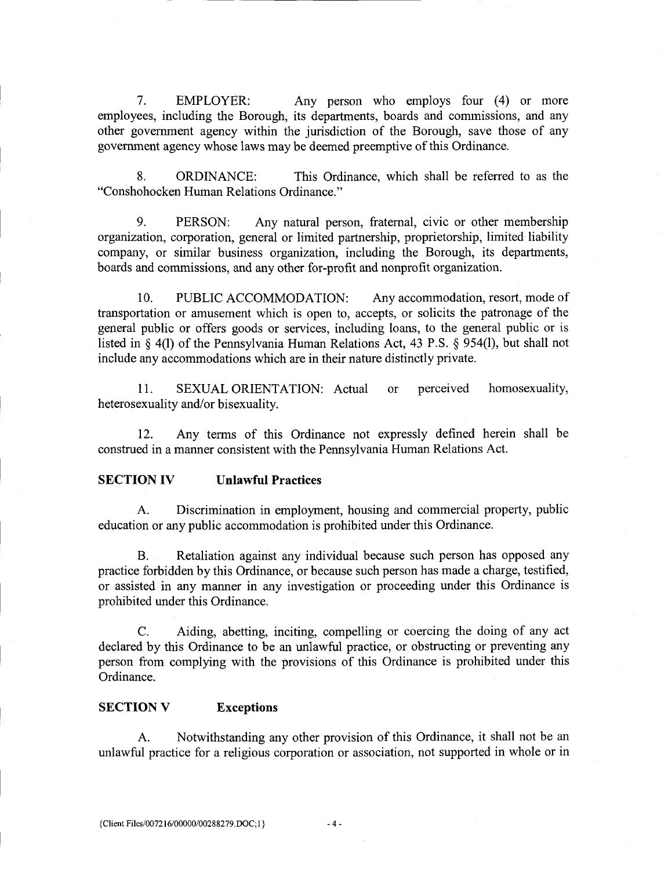7. EMPLOYER: Any person who employs four (4) or more employees, including the Borough, its departments, boards and commissions, and any other government agency within the jurisdiction of the Borough, save those of any government agency whose laws may be deemed preemptive of this Ordinance.

8. ORDINANCE: This Ordinance, which shall be referred to as the Conshohocken Human Relations Ordinance

9. PERSON: Any natural person, fraternal, civic or other membership organization, corporation, general or limited partnership, proprietorship, limited liability company, or similar business organization, including the Borough, its departments, boards and commissions, and any other for-profit and nonprofit organization.

10. PUBLIC ACCOMMODATION: Any accommodation, resort, mode of transportation or amusement which is open to, accepts, or solicits the patronage of the general public or offers goods or services, including loans, to the general public or is listed in  $\S$  4(1) of the Pennsylvania Human general public or offers goods or services, including loans, to the general public or is listed in  $\S$  4(1) of the Pennsylvania Human Relations Act, 43 P.S.  $\S$  954(1), but shall not include any accommodations which are in their nature distinctly private

11. SEXUAL ORIENTATION: Actual or perceived homosexuality, heterosexuality and/or bisexuality.

12. Any terms of this Ordinance not expressly defined herein shall be construed in a manner consistent with the Pennsylvania Human Relations Act.

### SECTION IV Unlawful Practices

A. Discrimination in employment, housing and commercial property, public education or any public accommodation is prohibited under this Ordinance

B. Retaliation against any individual because such person has opposed any practice forbidden by this Ordinance, or because such person has made a charge, testified, or assisted in any manner in any investigation or proceeding under this Ordinance is prohibited under this Ordinance

C. Aiding, abetting, inciting, compelling or coercing the doing of any act declared by this Ordinance to be an unlawful practice, or obstructing or preventing any person from complying with the provisions of this Ordinance is prohibited under this Ordinance C. Aiding, abetting, inciting, com<br>declared by this Ordinance to be an unlawful<br>person from complying with the provisions of<br>Ordinance.<br>SECTION V Exceptions<br>A. Notwithstanding any other prov<br>unlawful practice for a religio

### SECTION V Exceptions

A. Notwithstanding any other provision of this Ordinance, it shall not be an unlawful practice for a religious corporation or association not supported in whole or in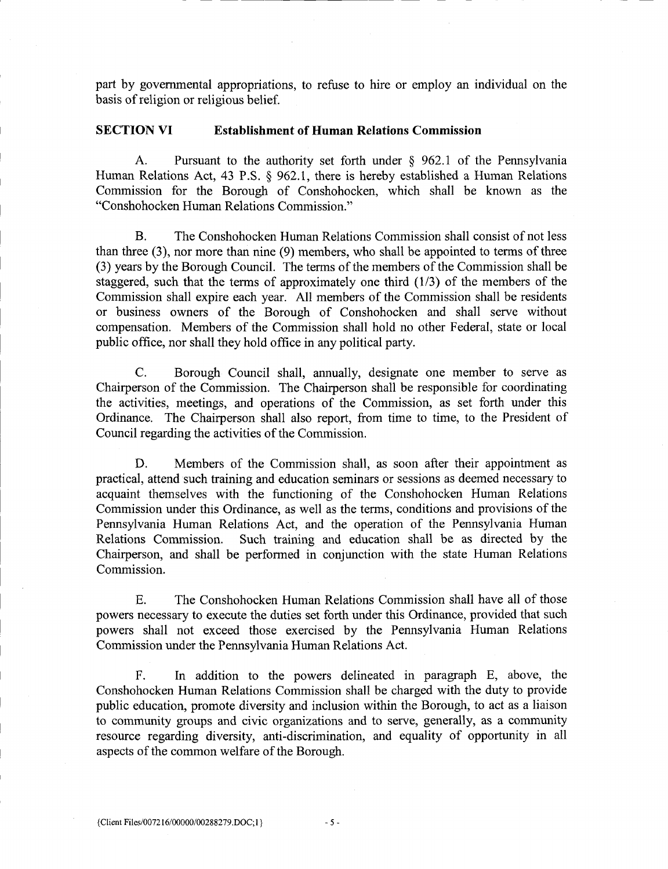part by governmental appropriations, to refuse to hire or employ an individual on the basis of religion or religious belief.

#### SECTION VI Establishment of Human Relations Commission

A. Pursuant to the authority set forth under  $\S$  962.1 of the Pennsylvania A. Pursuant to the authority<br>Human Relations Act, 43 P.S. § 962.1,<br>Commission for the Borough of Co there is hereby established a Human Relations Commission for the Borough of Conshohocken, which shall be known as the Conshohocken Human Relations Commission

B. The Conshohocken Human Relations Commission shall consist of not less than three  $(3)$ , nor more than nine  $(9)$  members, who shall be appointed to terms of three than three (3), nor more than nine (9) members, who shall be appointed to terms of three (3) years by the Borough Council. The terms of the members of the Commission shall be staggered, such that the terms of approximatel staggered, such that the terms of approximately one third  $(1/3)$  of the members of the Commission shall expire each year. All members of the Commission shall be residents or business owners of the Borough of Conshohocken and shall serve without compensation. Members of the Commission shall hold no other Federal, state or local public office, nor shall they hold office in any political party.

C. Borough Council shall, annually, designate one member to serve as Chairperson of the Commission. The Chairperson shall be responsible for coordinating the activities, meetings, and operations of the Commission, as set forth under this Ordinance. The Chairperson shall also report, from time to time, to the President of Council regarding the activities of the Commission

D. Members of the Commission shall, as soon after their appointment as practical, attend such training and education seminars or sessions as deemed necessary to acquaint themselves with the functioning of the Conshohocken Human Relations Commission under this Ordinance, as well as the terms, conditions and provisions of the Pennsylvania Human Relations Act, and the operation of the Pennsylvania Human Relations Commission. Such training and education shall be as directed by the Such training and education shall be as directed by the Chairperson, and shall be performed in conjunction with the state Human Relations Commission

E. The Conshohocken Human Relations Commission shall have all of those powers necessary to execute the duties set forth under this Ordinance, provided that such powers shall not exceed those exercised by the Pennsylvania Human Relations Commission under the Pennsylvania Human Relations Act

F. In addition to the powers delineated in paragraph E, above, the Conshohocken Human Relations Commission shall be charged with the duty to provide public education, promote diversity and inclusion within the Borough, to act as a liaison to community groups and civic organizations and to serve, generally, as a community resource regarding diversity, anti-discriminatio to community groups and civic organizations and to serve, generally, as a community resource regarding diversity, anti-discrimination, and equality of opportunity in all aspects of the common welfare of the Borough.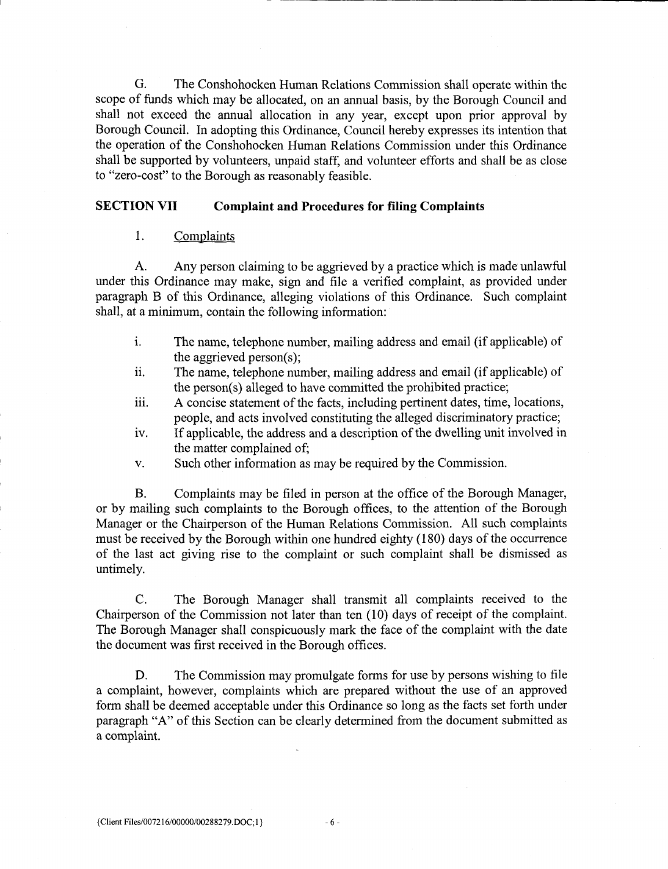G. The Conshohocken Human Relations Commission shall operate within the scope of funds which may be allocated, on an annual basis, by the Borough Council and shall not exceed the annual allocation in any year, except upon prior approval by Borough Council. In adopting this Ordinance, Council hereby expresses its intention that the operation of the Conshohocken Human Relations Commission under this Ordinance shall be supported by volunteers, unpaid staff, and volunteer efforts and shall be as close<br>to "zero-cost" to the Borough as reasonably feasible.

#### SECTION VII Complaint and Procedures for filing Complaints

#### $\mathbf{1}$ . **Complaints**

A. Any person claiming to be aggrieved by a practice which is made unlawful under this Ordinance may make, sign and file a verified complaint, as provided under paragraph B of this Ordinance, alleging violations of this Ordinance. Such complaint shall, at a minimum, contain the following information: make, sign<br>nce, allegir<br>the followi<br>ephone nur<br>person(s);<br>ephone nur<br>alleged to b

- is a minimum, contain the following information:<br>i. The name, telephone number, mailing address and email (if applicable) of the aggrieved The name, telephone number, mailing address and email (if app<br>the aggrieved person(s);<br>The name, telephone number, mailing address and email (if app<br>the person(s) alleged to have committed the prohibited practice;<br>A concis
- ii the aggrieved person(s);<br>The name, telephone number, mailing address and email (if applicable) of the person(s) alleged to have committed the prohibited practice;<br>iii. A concise statement of the facts, including pertinent dates, time, locations,
- people, and acts involved constituting the alleged discriminatory practice;
- iv. If applicable, the address and a description of the dwelling unit involved in the matter complained of
- v. Such other information as may be required by the Commission.

B. Complaints may be filed in person at the office of the Borough Manager, or by mailing such complaints to the Borough offices, to the attention of the Borough Manager or the Chairperson of the Human Relations Commission. All such complaints must be received by the Borough within one hundred eighty (180) days of the occurrence of the last act giving rise to the complaint or such complaint shall be dismissed as untimely

C. The Borough Manager shall transmit all complaints received to the Chairperson of the Commission not later than ten  $(10)$  days of receipt of the complaint. The Borough Manager shall conspicuously mark the face of the complaint with the date the document was first received in the Borough offices

D. The Commission may promulgate forms for use by persons wishing to file a complaint, however, complaints which are prepared without the use of an approved form shall be deemed acceptable under this Ordinance so long as the facts set forth under paragraph "A" of this Section can be clearly determined from the document submitted as a complaint C. The Borough Manage<br>Chairperson of the Commission not 1.<br>The Borough Manager shall conspicu<br>the document was first received in the<br>D. The Commission may ja complaint, however, complaints wh<br>form shall be deemed acceptabl

6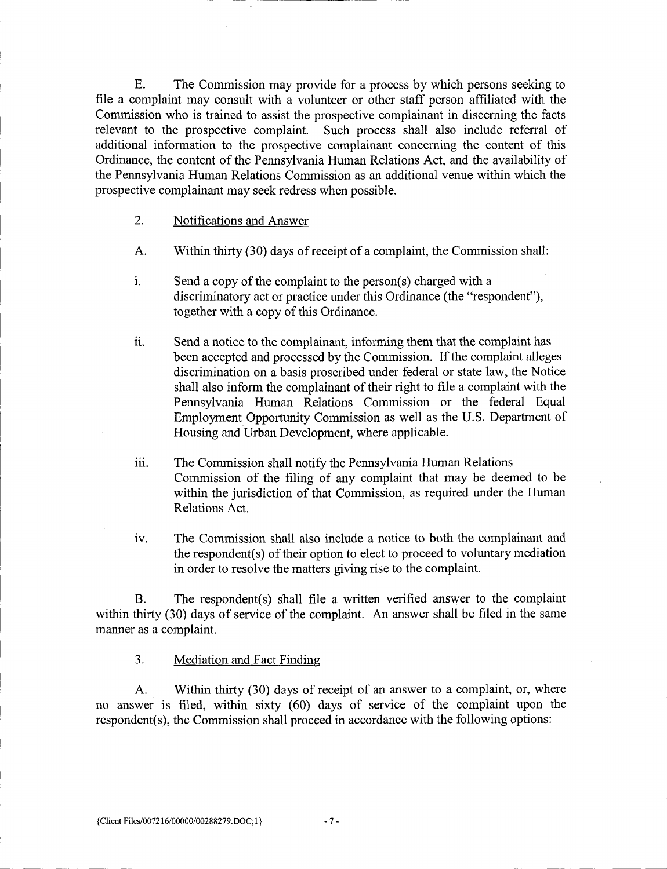E. The Commission may provide for a process by which persons seeking to file a complaint may consult with <sup>a</sup> volunteer or other staff person affiliated with the Commission who is trained to assist the prospective complainant in discerning the facts relevant to the prospective complaint. Such process shall also include referral of additional information to the prospective complainant concerning the content of this Ordinance, the content of the Pennsylvania Human Relations Act, and the availability of the Pennsylvania Human Relations Commission as an additional venue within which the prospective complainant may seek redress when possible

#### 2. Notifications and Answer

- A. Within thirty (30) days of receipt of a complaint, the Commission shall: A. Within thirty (30) days of receipt of a complaint, the Commis<br>i. Send a copy of the complaint to the person(s) charged with a
- ations and Answer<br>thirty (30) days of receipt of a complaint, the Commis<br>copy of the complaint to the person(s) charged with a<br>inatory act or practice under this Ordinance (the "resp discriminatory act or practice under this Ordinance (the "respondent"), together with a copy of this Ordinance
- ii. Send a notice to the complainant, informing them that the complaint has been accepted and processed by the Commission. If the complaint alleges discrimination on a basis proscribed under federal or state law, the Notice shall also inform the complainant of their right to file a complaint with the Pennsylvania Human Relations Commission or the federal Equal<br>Employment Opportunity Commission as well as the U.S. Department of Housing and Urban Development, where applicable.
- iii. The Commission shall notify the Pennsylvania Human Relations Commission of the filing of any complaint that may be deemed to be within the jurisdiction of that Commission, as required under the Human Relations Act The Commission s<br>Commission of the<br>within the jurisdic<br>Relations Act.<br>The Commission<br>the respondent(s) on<br>in order to resolve
- iv. The Commission shall also include a notice to both the complainant and the respondent(s) of their option to elect to proceed to voluntary mediation in order to resolve the matters giving rise to the complaint

within the jurisdict:<br>
Relations Act.<br>
iv. The Commission sl<br>
the respondent(s) of<br>
in order to resolve t<br>
B. The respondent(s)<br>
thirty (30) days of service of<br>
as a complaint. The respondent(s) shall file a written verified answer to the complaint within thirty (30) days of service of the complaint. An answer shall be filed in the same manner as a complaint

#### 3. Mediation and Fact Finding

A. Within thirty (30) days of receipt of an answer to a complaint, or, where no answer is filed, within sixty (60) days of service of the complaint upon the within thirty (3<br>manner as a co.<br>3.<br>A.<br>no answer is respondent(s), respondent(s), the Commission shall proceed in accordance with the following options: manner as a complaint.<br>
3. <u>Mediation and Fact Finding</u><br>
A. Within thirty (30) days of recei<br>
no answer is filed, within sixty (60) days<br>
respondent(s), the Commission shall proceed in<br>
(Client Files/007216/00000/00288279.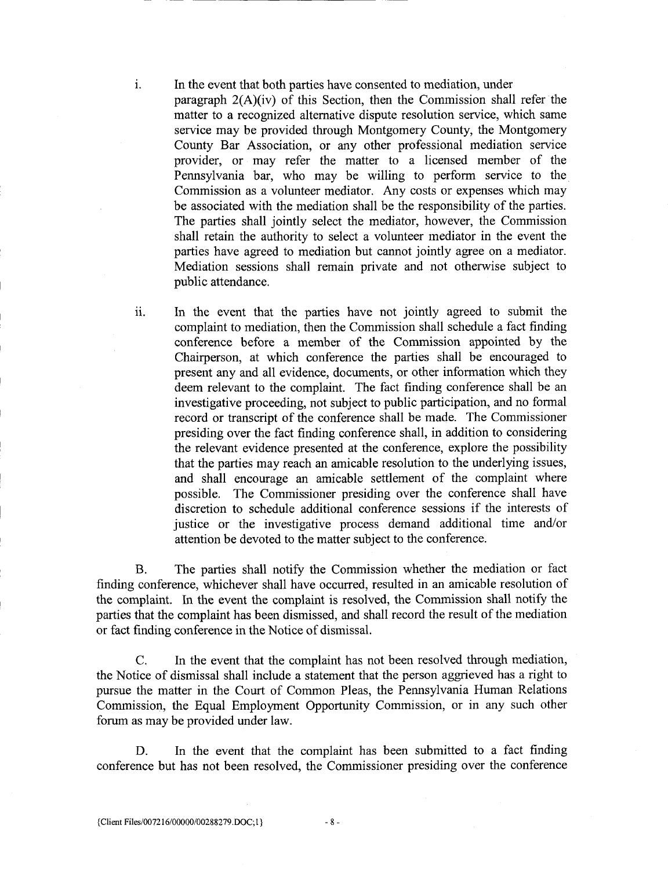In the event that both parties have consented to mediation, under paragraph  $2(A)(iv)$  of this Section, then the Commission shall refer the matter to a recognized alternative dispute resolution service, which same service may be provided through Montgomery County, the Montgomery County Bar Association, or any other professional mediation service provider, or may refer the matter to a licensed member of the Pennsylvania bar, who may be willing to perform service to the Commission as a volunteer mediator. Any costs or expenses which may be associated with the mediation shall be the responsibility of the parties. The parties shall jointly select the mediator, however, the Commission shall retain the authority to select a volunteer mediator in the event the parties have agreed to mediation but cannot jointly agree on a mediator Mediation sessions shall remain private and not otherwise subject to public attendance

ii. In the event that the parties have not jointly agreed to submit the complaint to mediation, then the Commission shall schedule a fact finding conference before a member of the Commission appointed by the Chairperson, at which conference the parties shall be encouraged to present any and all evidence, documents, or other information which they deem relevant to the complaint. The fact finding conference shall be an investigative proceeding, not subject to public participation, and no formal record or transcript of the conference shall be made. The Commissioner presiding over the fact finding conference shall, in addition to considering the relevant evidence presented at the conference, explore the possibility that the parties may reach an amicable resolution to the underlying issues and shall encourage an amicable settlement of the complaint where possible. The Commissioner presiding over the conference shall have discretion to schedule additional conference sessions if the interests of justice or the investigative process demand additional time and/or attention be devoted to the matter subject to the conference

B. The parties shall notify the Commission whether the mediation or fact finding conference, whichever shall have occurred, resulted in an amicable resolution of the complaint. In the event the complaint is resolved, the Commission shall notify the parties that the complaint has been dismissed, and shall record the result of the mediation or fact finding conference in the Notice of dismissal.

C. In the event that the complaint has not been resolved through mediation, the Notice of dismissal shall include a statement that the person aggrieved has a right to pursue the matter in the Court of Common Pleas, the Pennsylvania Human Relations Commission, the Equal Employment Opportunity Commission, or in any such other forum as may be provided under law finding conference, whichever shall have the complaint. In the event the complaint has been disror fact finding conference in the Notice C. In the event that the complexies C. In the event that the complexies the matter in

D. In the event that the complaint has been submitted to a fact finding conference but has not been resolved, the Commissioner presiding over the conference

i

8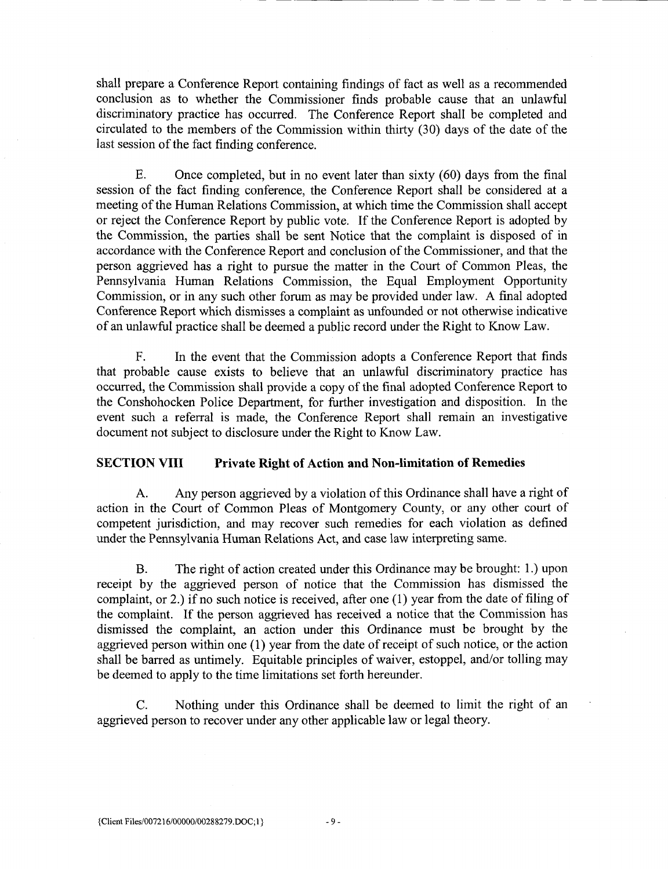shall prepare a Conference Report containing findings of fact as well as a recommended conclusion as to whether the Commissioner finds probable cause that an unlawful discriminatory practice has occurred. The Conference Report shall be completed and circulated to the members of the Commission within thirty  $(30)$  days of the date of the last session of the fact finding conference.

E. Once completed, but in no event later than sixty  $(60)$  days from the final session of the fact finding conference the Conference Report shall be considered at <sup>a</sup> meeting of the Human Relations Commission at which time the Commission shall accept or reject the Conference Report by public vote. If the Conference Report is adopted by the Commission, the parties shall be sent Notice that the complaint is disposed of in accordance with the Conference Report and conclusion of the Commissioner, and that the person aggrieved has a right to pursue the matter in the Court of Common Pleas, the Pennsylvania Human Relations Commission, the Equal Employment Opportunity Commission, or in any such other forum as may be provided under law. A final adopted Conference Report which dismisses <sup>a</sup> complaint as unfounded or not otherwise indicative of an unlawful practice shall be deemed <sup>a</sup> public record under the Right to Know Law

F. In the event that the Commission adopts a Conference Report that finds that probable cause exists to believe that an unlawful discriminatory practice has occurred, the Commission shall provide a copy of the final adopted Conference Report to the Conshohocken Police Department, for further investigation and disposition. In the event such a referral is made, the Conference Report shall remain an investigative document not subject to disclosure under the Right to Know Law

#### SECTION VIII Private Right of Action and Non-limitation of Remedies

A. Any person aggrieved by a violation of this Ordinance shall have a right of action in the Court of Common Pleas of Montgomery County, or any other court of competent jurisdiction, and may recover such remedies for each violation as defined under the Pennsylvania Human Relations Act, and case law interpreting same.

B. The right of action created under this Ordinance may be brought: 1.) upon receipt by the aggrieved person of notice that the Commission has dismissed the complaint, or 2.) if no such notice is received, after one  $(1)$  year from the date of filing of the complaint. If the person aggrieved has received a notice that the Commission has dismissed the complaint, an action under this Ordinance must be brought by the aggrieved person within one (1) year from the date of receipt of such notice, or the action<br>shall be barred as untimely. Equitable principles of waiver, estoppel, and/or tolling may be deemed to apply to the time limitations set forth hereunder dismissed the complaint, an action under t<br>aggrieved person within one (1) year from the shall be barred as untimely. Equitable princip<br>be deemed to apply to the time limitations set f<br>C. Nothing under this Ordinance<br>aggri

C. Nothing under this Ordinance shall be deemed to limit the right of an aggrieved person to recover under any other applicable law or legal theory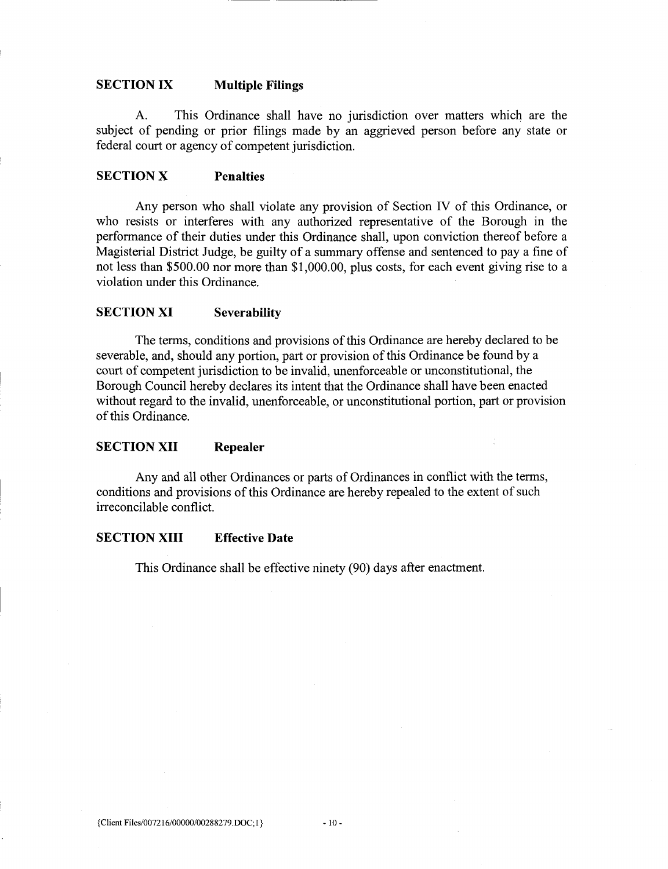#### SECTION IX Multiple Filings

A This Ordinance shall have no jurisdiction over matters which are the subject of pending or prior filings made by an aggrieved person before any state or federal court or agency of competent jurisdiction.

### SECTION X Penalties

Any person who shall violate any provision of Section IV of this Ordinance, or who resists or interferes with any authorized representative of the Borough in the performance of their duties under this Ordinance shall, upon conviction thereof before a Magisterial District Judge, be guilty of a summary offense and sentenced to pay a fine of not less than \$500.00 nor more than  $$1,000.00$ , plus costs, for each event giving rise to a violation under this Ordinance

#### SECTION XI Severability

The terms, conditions and provisions of this Ordinance are hereby declared to be severable, and, should any portion, part or provision of this Ordinance be found by a court of competent jurisdiction to be invalid, unenforceable or unconstitutional, the Borough Council hereby declares its intent that the Ordinance shall have been enacted without regard to the invalid, unenforceable, or unconstitutional portion, part or provision of this Ordinance.

#### SECTION XII Repealer

Any and all other Ordinances or parts of Ordinances in conflict with the terms, conditions and provisions of this Ordinance are hereby repealed to the extent of such irreconcilable conflict

#### SECTION XIII Effective Date

This Ordinance shall be effective ninety (90) days after enactment.